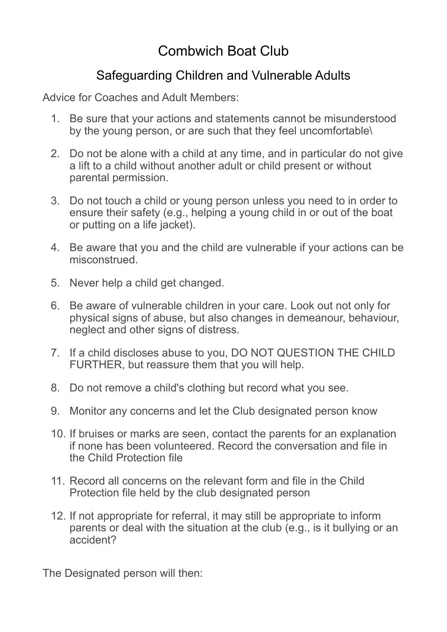## Combwich Boat Club

## Safeguarding Children and Vulnerable Adults

Advice for Coaches and Adult Members:

- 1. Be sure that your actions and statements cannot be misunderstood by the young person, or are such that they feel uncomfortable\
- 2. Do not be alone with a child at any time, and in particular do not give a lift to a child without another adult or child present or without parental permission.
- 3. Do not touch a child or young person unless you need to in order to ensure their safety (e.g., helping a young child in or out of the boat or putting on a life jacket).
- 4. Be aware that you and the child are vulnerable if your actions can be misconstrued.
- 5. Never help a child get changed.
- 6. Be aware of vulnerable children in your care. Look out not only for physical signs of abuse, but also changes in demeanour, behaviour, neglect and other signs of distress.
- 7. If a child discloses abuse to you, DO NOT QUESTION THE CHILD FURTHER, but reassure them that you will help.
- 8. Do not remove a child's clothing but record what you see.
- 9. Monitor any concerns and let the Club designated person know
- 10. If bruises or marks are seen, contact the parents for an explanation if none has been volunteered. Record the conversation and file in the Child Protection file
- 11. Record all concerns on the relevant form and file in the Child Protection file held by the club designated person
- 12. If not appropriate for referral, it may still be appropriate to inform parents or deal with the situation at the club (e.g., is it bullying or an accident?

The Designated person will then: